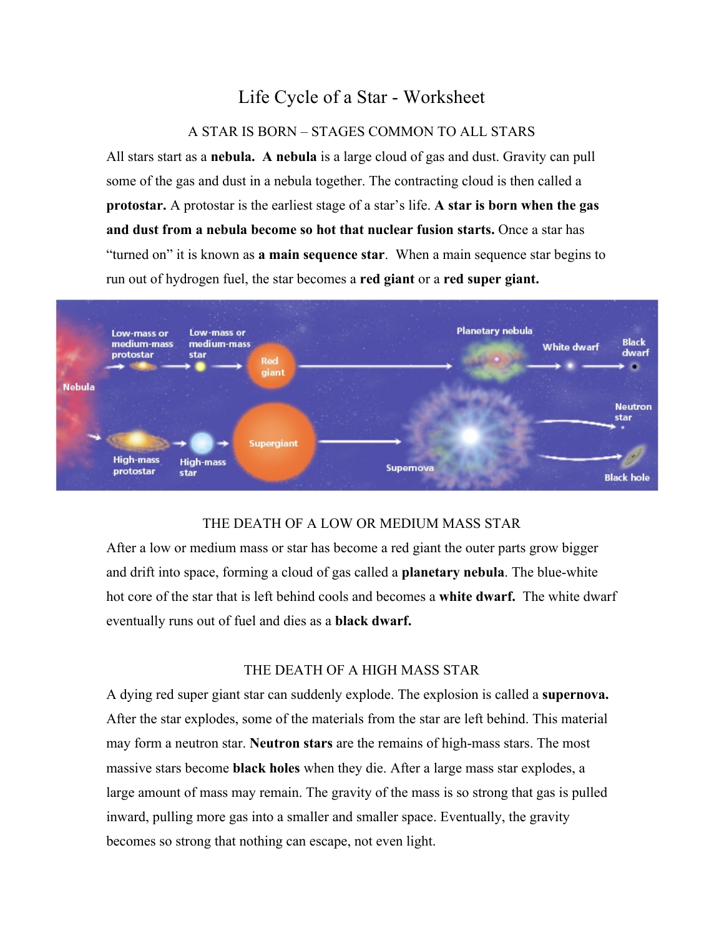# Life Cycle of a Star - Worksheet

## A STAR IS BORN – STAGES COMMON TO ALL STARS

All stars start as a **nebula. A nebula** is a large cloud of gas and dust. Gravity can pull some of the gas and dust in a nebula together. The contracting cloud is then called a **protostar.** A protostar is the earliest stage of a star's life. **A star is born when the gas and dust from a nebula become so hot that nuclear fusion starts.** Once a star has "turned on" it is known as **a main sequence star**. When a main sequence star begins to run out of hydrogen fuel, the star becomes a **red giant** or a **red super giant.**



#### THE DEATH OF A LOW OR MEDIUM MASS STAR

After a low or medium mass or star has become a red giant the outer parts grow bigger and drift into space, forming a cloud of gas called a **planetary nebula**. The blue-white hot core of the star that is left behind cools and becomes a **white dwarf.** The white dwarf eventually runs out of fuel and dies as a **black dwarf.**

#### THE DEATH OF A HIGH MASS STAR

A dying red super giant star can suddenly explode. The explosion is called a **supernova.**  After the star explodes, some of the materials from the star are left behind. This material may form a neutron star. **Neutron stars** are the remains of high-mass stars. The most massive stars become **black holes** when they die. After a large mass star explodes, a large amount of mass may remain. The gravity of the mass is so strong that gas is pulled inward, pulling more gas into a smaller and smaller space. Eventually, the gravity becomes so strong that nothing can escape, not even light.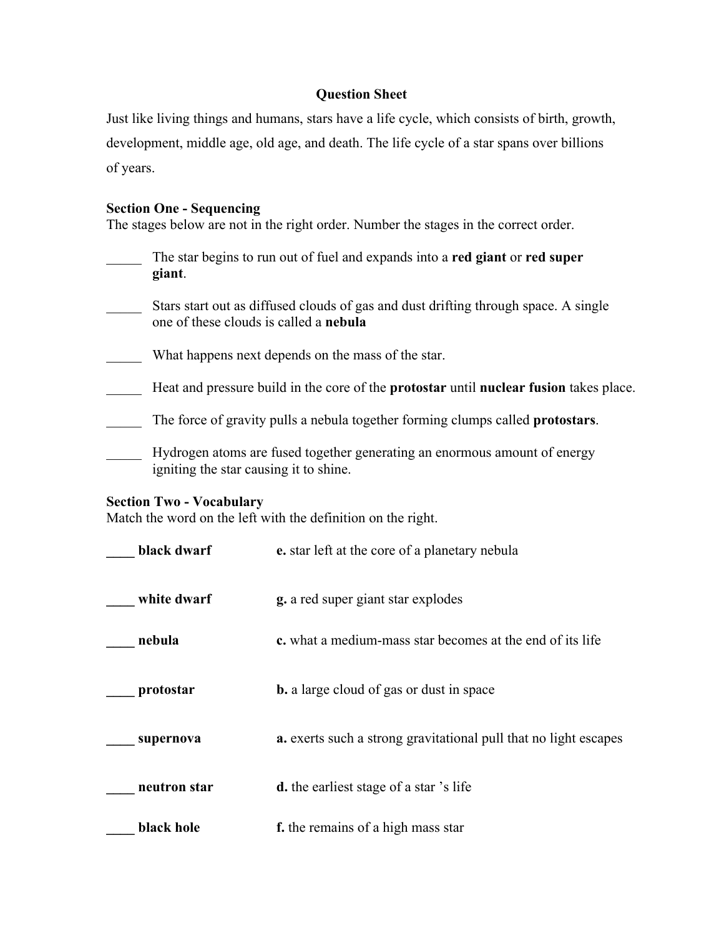# **Question Sheet**

Just like living things and humans, stars have a life cycle, which consists of birth, growth, development, middle age, old age, and death. The life cycle of a star spans over billions of years.

### **Section One - Sequencing**

The stages below are not in the right order. Number the stages in the correct order.

| The star begins to run out of fuel and expands into a red giant or red super<br>giant.                                               |
|--------------------------------------------------------------------------------------------------------------------------------------|
| Stars start out as diffused clouds of gas and dust drifting through space. A single<br>one of these clouds is called a <b>nebula</b> |
| What happens next depends on the mass of the star.                                                                                   |
| Heat and pressure build in the core of the <b>protostar</b> until <b>nuclear fusion</b> takes place.                                 |
| The force of gravity pulls a nebula together forming clumps called <b>protostars</b> .                                               |
| Hydrogen atoms are fused together generating an enormous amount of energy<br>igniting the star causing it to shine.                  |

## **Section Two - Vocabulary**

Match the word on the left with the definition on the right.

| black dwarf  | e. star left at the core of a planetary nebula                   |
|--------------|------------------------------------------------------------------|
| white dwarf  | <b>g.</b> a red super giant star explodes                        |
| nebula       | c. what a medium-mass star becomes at the end of its life        |
| protostar    | <b>b.</b> a large cloud of gas or dust in space                  |
| supernova    | a. exerts such a strong gravitational pull that no light escapes |
| neutron star | <b>d.</b> the earliest stage of a star 's life                   |
| black hole   | f. the remains of a high mass star                               |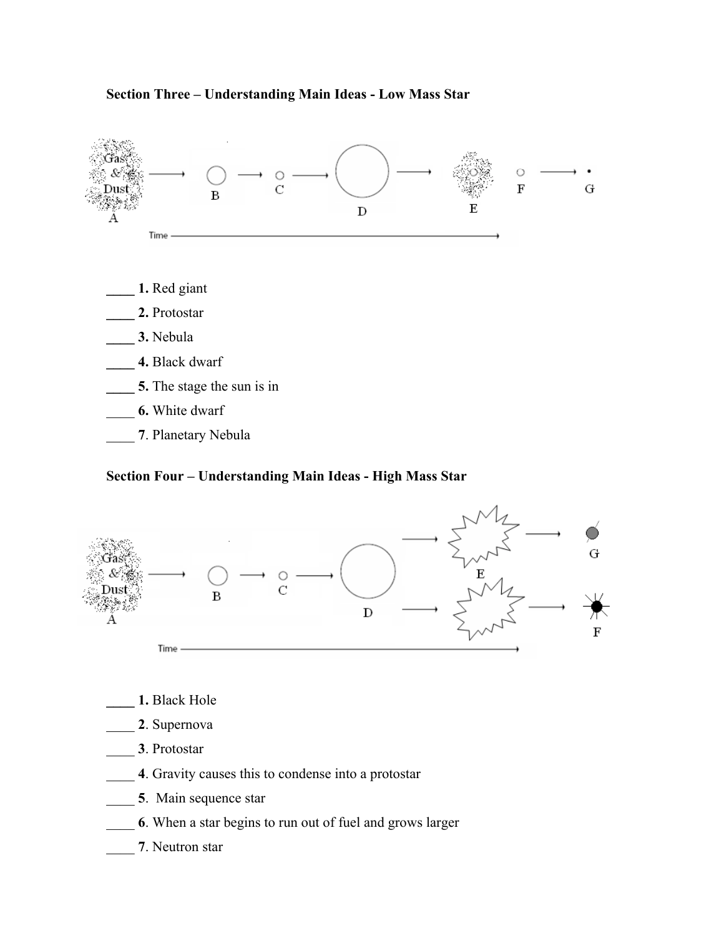

#### **Section Four – Understanding Main Ideas - High Mass Star**



- **\_\_\_\_ 1.** Black Hole
- \_\_\_\_ **2**. Supernova
- \_\_\_\_ **3**. Protostar
- \_\_\_\_ **4**. Gravity causes this to condense into a protostar
- \_\_\_\_ **5**. Main sequence star
- \_\_\_\_ **6**. When a star begins to run out of fuel and grows larger
- \_\_\_\_ **7**. Neutron star

# **Section Three – Understanding Main Ideas - Low Mass Star**